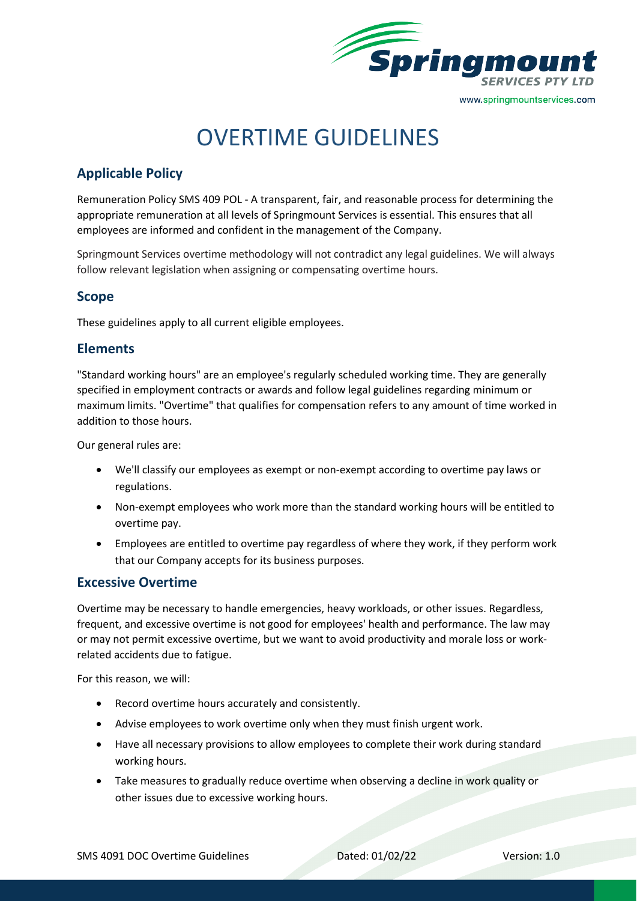

# OVERTIME GUIDELINES

# **Applicable Policy**

Remuneration Policy SMS 409 POL - A transparent, fair, and reasonable process for determining the appropriate remuneration at all levels of Springmount Services is essential. This ensures that all employees are informed and confident in the management of the Company.

Springmount Services overtime methodology will not contradict any legal guidelines. We will always follow relevant legislation when assigning or compensating overtime hours.

## **Scope**

These guidelines apply to all current eligible employees.

## **Elements**

"Standard working hours" are an employee's regularly scheduled working time. They are generally specified in employment contracts or awards and follow legal guidelines regarding minimum or maximum limits. "Overtime" that qualifies for compensation refers to any amount of time worked in addition to those hours.

Our general rules are:

- We'l[l](https://resources.workable.com/employee-classification-company-policy) [classify our employees](https://resources.workable.com/employee-classification-company-policy) as exempt or non-exempt according to overtime pay laws or regulations.
- Non-exempt employees who work more than the standard working hours will be entitled to overtime pay.
- Employees are entitled to overtime pay regardless of where they work, if they perform work that our Company accepts for its business purposes.

## **Excessive Overtime**

Overtime may be necessary to handle emergencies, heavy workloads, or other issues. Regardless, frequent, and excessive overtime is not good for employees' health and performance. The law may or may not permit excessive overtime, but we want to avoid productivity and morale loss o[r](https://resources.workable.com/accident-reporting-company-policy) [work](https://resources.workable.com/accident-reporting-company-policy)[related accidents](https://resources.workable.com/accident-reporting-company-policy) due to fatigue.

For this reason, we will:

- Record overtime hours accurately and consistently.
- Advise employees to work overtime only when they must finish urgent work.
- Have all necessary provisions to allow employees to complete their work during standard working hours.
- Take measures to gradually reduce overtime when observing a decline in work quality or other issues due to excessive working hours.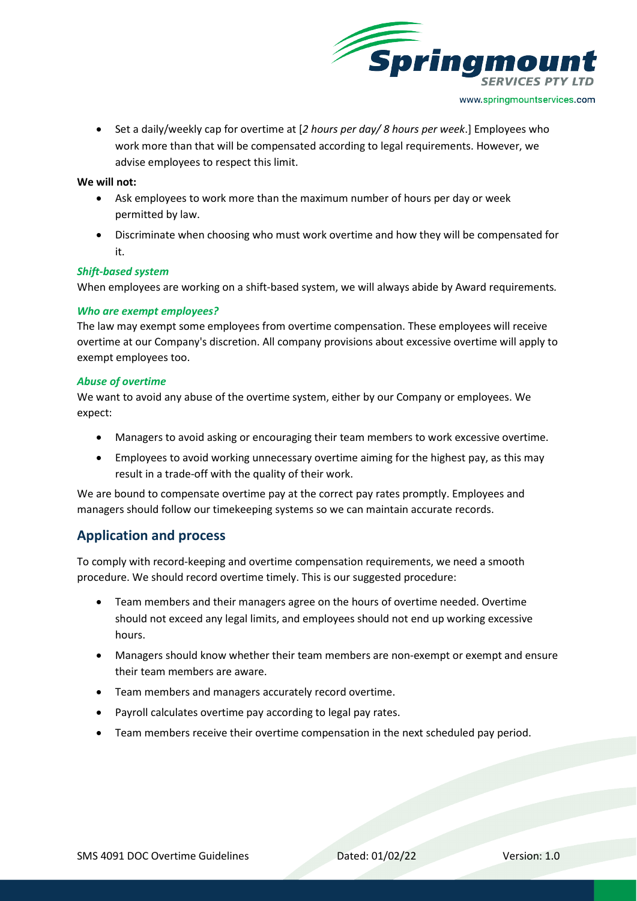

• Set a daily/weekly cap for overtime at [*2 hours per day/ 8 hours per week*.] Employees who work more than that will be compensated according to legal requirements. However, we advise employees to respect this limit.

#### **We will not:**

- Ask employees to work more than the maximum number of hours per day or week permitted by law.
- Discriminate when choosing who must work overtime and how they will be compensated for it.

#### *Shift-based system*

When employees are working on a shift-based system, we will always abide by Award requirements*.* 

#### *Who are exempt employees?*

The law may exempt some employees from overtime compensation. These employees will receive overtime at our Company's discretion. All company provisions about excessive overtime will apply to exempt employees too.

#### *Abuse of overtime*

We want to avoid any abuse of the overtime system, either by our Company or employees. We expect:

- Managers to avoid asking or encouraging their team members to work excessive overtime.
- Employees to avoid working unnecessary overtime aiming for the highest pay, as this may result in a trade-off with the quality of their work.

We are bound to compensate overtime pay at the correct pay rates promptly. Employees and managers should follow our timekeeping systems so we can maintain accurate records.

## **Application and process**

To comply with record-keeping and overtime compensation requirements, we need a smooth procedure. We should record overtime timely. This is our suggested procedure:

- Team members and their managers agree on the hours of overtime needed. Overtime should not exceed any legal limits, and employees should not end up working excessive hours.
- Managers should know whether their team members are non-exempt or exempt and ensure their team members are aware.
- Team members and managers accurately record overtime.
- Payroll calculates overtime pay according to legal pay rates.
- Team members receive their overtime compensation in the next scheduled pay period.